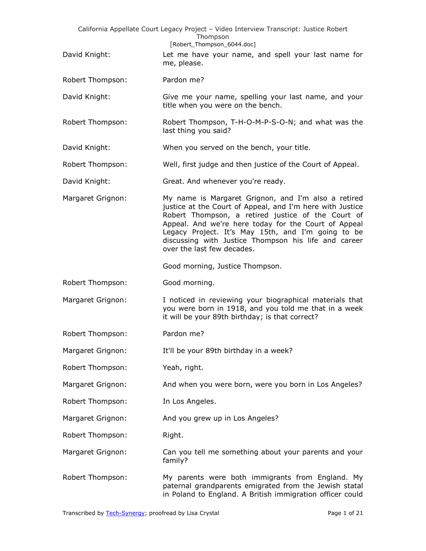| California Appellate Court Legacy Project - Video Interview Transcript: Justice Robert<br>Thompson<br>[Robert_Thompson_6044.doc] |                                                                                                                                                                                                                                                                                                                                                                            |  |
|----------------------------------------------------------------------------------------------------------------------------------|----------------------------------------------------------------------------------------------------------------------------------------------------------------------------------------------------------------------------------------------------------------------------------------------------------------------------------------------------------------------------|--|
| David Knight:                                                                                                                    | Let me have your name, and spell your last name for<br>me, please.                                                                                                                                                                                                                                                                                                         |  |
| Robert Thompson:                                                                                                                 | Pardon me?                                                                                                                                                                                                                                                                                                                                                                 |  |
| David Knight:                                                                                                                    | Give me your name, spelling your last name, and your<br>title when you were on the bench.                                                                                                                                                                                                                                                                                  |  |
| Robert Thompson:                                                                                                                 | Robert Thompson, T-H-O-M-P-S-O-N; and what was the<br>last thing you said?                                                                                                                                                                                                                                                                                                 |  |
| David Knight:                                                                                                                    | When you served on the bench, your title.                                                                                                                                                                                                                                                                                                                                  |  |
| Robert Thompson:                                                                                                                 | Well, first judge and then justice of the Court of Appeal.                                                                                                                                                                                                                                                                                                                 |  |
| David Knight:                                                                                                                    | Great. And whenever you're ready.                                                                                                                                                                                                                                                                                                                                          |  |
| Margaret Grignon:                                                                                                                | My name is Margaret Grignon, and I'm also a retired<br>justice at the Court of Appeal, and I'm here with Justice<br>Robert Thompson, a retired justice of the Court of<br>Appeal. And we're here today for the Court of Appeal<br>Legacy Project. It's May 15th, and I'm going to be<br>discussing with Justice Thompson his life and career<br>over the last few decades. |  |
|                                                                                                                                  | Good morning, Justice Thompson.                                                                                                                                                                                                                                                                                                                                            |  |
| Robert Thompson:                                                                                                                 | Good morning.                                                                                                                                                                                                                                                                                                                                                              |  |
| Margaret Grignon:                                                                                                                | I noticed in reviewing your biographical materials that<br>you were born in 1918, and you told me that in a week<br>it will be your 89th birthday; is that correct?                                                                                                                                                                                                        |  |
| Robert Thompson:                                                                                                                 | Pardon me?                                                                                                                                                                                                                                                                                                                                                                 |  |
| Margaret Grignon:                                                                                                                | It'll be your 89th birthday in a week?                                                                                                                                                                                                                                                                                                                                     |  |
| Robert Thompson:                                                                                                                 | Yeah, right.                                                                                                                                                                                                                                                                                                                                                               |  |
| Margaret Grignon:                                                                                                                | And when you were born, were you born in Los Angeles?                                                                                                                                                                                                                                                                                                                      |  |
| Robert Thompson:                                                                                                                 | In Los Angeles.                                                                                                                                                                                                                                                                                                                                                            |  |
| Margaret Grignon:                                                                                                                | And you grew up in Los Angeles?                                                                                                                                                                                                                                                                                                                                            |  |
| Robert Thompson:                                                                                                                 | Right.                                                                                                                                                                                                                                                                                                                                                                     |  |
| Margaret Grignon:                                                                                                                | Can you tell me something about your parents and your<br>family?                                                                                                                                                                                                                                                                                                           |  |
| Robert Thompson:                                                                                                                 | My parents were both immigrants from England. My<br>paternal grandparents emigrated from the Jewish statal<br>in Poland to England. A British immigration officer could                                                                                                                                                                                                    |  |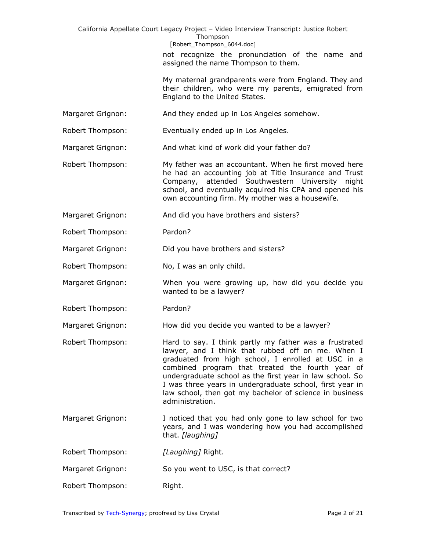California Appellate Court Legacy Project – Video Interview Transcript: Justice Robert Thompson [Robert Thompson 6044.doc] not recognize the pronunciation of the name and assigned the name Thompson to them. My maternal grandparents were from England. They and their children, who were my parents, emigrated from England to the United States. Margaret Grignon: And they ended up in Los Angeles somehow. Robert Thompson: Eventually ended up in Los Angeles. Margaret Grignon: And what kind of work did your father do? Robert Thompson: My father was an accountant. When he first moved here he had an accounting job at Title Insurance and Trust Company, attended Southwestern University night school, and eventually acquired his CPA and opened his own accounting firm. My mother was a housewife. Margaret Grignon: And did you have brothers and sisters? Robert Thompson: Pardon? Margaret Grignon: Did you have brothers and sisters? Robert Thompson: No, I was an only child. Margaret Grignon: When you were growing up, how did you decide you wanted to be a lawyer? Robert Thompson: Pardon? Margaret Grignon: How did you decide you wanted to be a lawyer? Robert Thompson: Hard to say. I think partly my father was a frustrated lawyer, and I think that rubbed off on me. When I graduated from high school, I enrolled at USC in a combined program that treated the fourth year of undergraduate school as the first year in law school. So I was three years in undergraduate school, first year in law school, then got my bachelor of science in business administration. Margaret Grignon: I noticed that you had only gone to law school for two years, and I was wondering how you had accomplished that. *[laughing]* Robert Thompson: *[Laughing]* Right. Margaret Grignon: So you went to USC, is that correct? Robert Thompson: Right.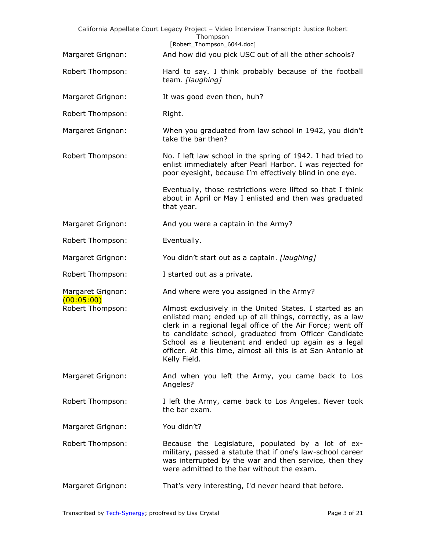|                                 | California Appellate Court Legacy Project - Video Interview Transcript: Justice Robert<br>Thompson<br>[Robert_Thompson_6044.doc]                                                                                                                                                                                                                                                     |
|---------------------------------|--------------------------------------------------------------------------------------------------------------------------------------------------------------------------------------------------------------------------------------------------------------------------------------------------------------------------------------------------------------------------------------|
| Margaret Grignon:               | And how did you pick USC out of all the other schools?                                                                                                                                                                                                                                                                                                                               |
| Robert Thompson:                | Hard to say. I think probably because of the football<br>team. [laughing]                                                                                                                                                                                                                                                                                                            |
| Margaret Grignon:               | It was good even then, huh?                                                                                                                                                                                                                                                                                                                                                          |
| Robert Thompson:                | Right.                                                                                                                                                                                                                                                                                                                                                                               |
| Margaret Grignon:               | When you graduated from law school in 1942, you didn't<br>take the bar then?                                                                                                                                                                                                                                                                                                         |
| Robert Thompson:                | No. I left law school in the spring of 1942. I had tried to<br>enlist immediately after Pearl Harbor. I was rejected for<br>poor eyesight, because I'm effectively blind in one eye.                                                                                                                                                                                                 |
|                                 | Eventually, those restrictions were lifted so that I think<br>about in April or May I enlisted and then was graduated<br>that year.                                                                                                                                                                                                                                                  |
| Margaret Grignon:               | And you were a captain in the Army?                                                                                                                                                                                                                                                                                                                                                  |
| Robert Thompson:                | Eventually.                                                                                                                                                                                                                                                                                                                                                                          |
| Margaret Grignon:               | You didn't start out as a captain. [laughing]                                                                                                                                                                                                                                                                                                                                        |
| Robert Thompson:                | I started out as a private.                                                                                                                                                                                                                                                                                                                                                          |
| Margaret Grignon:<br>(00:05:00) | And where were you assigned in the Army?                                                                                                                                                                                                                                                                                                                                             |
| Robert Thompson:                | Almost exclusively in the United States. I started as an<br>enlisted man; ended up of all things, correctly, as a law<br>clerk in a regional legal office of the Air Force; went off<br>to candidate school, graduated from Officer Candidate<br>School as a lieutenant and ended up again as a legal<br>officer. At this time, almost all this is at San Antonio at<br>Kelly Field. |
| Margaret Grignon:               | And when you left the Army, you came back to Los<br>Angeles?                                                                                                                                                                                                                                                                                                                         |
| Robert Thompson:                | I left the Army, came back to Los Angeles. Never took<br>the bar exam.                                                                                                                                                                                                                                                                                                               |
| Margaret Grignon:               | You didn't?                                                                                                                                                                                                                                                                                                                                                                          |
| Robert Thompson:                | Because the Legislature, populated by a lot of ex-<br>military, passed a statute that if one's law-school career<br>was interrupted by the war and then service, then they<br>were admitted to the bar without the exam.                                                                                                                                                             |
| Margaret Grignon:               | That's very interesting, I'd never heard that before.                                                                                                                                                                                                                                                                                                                                |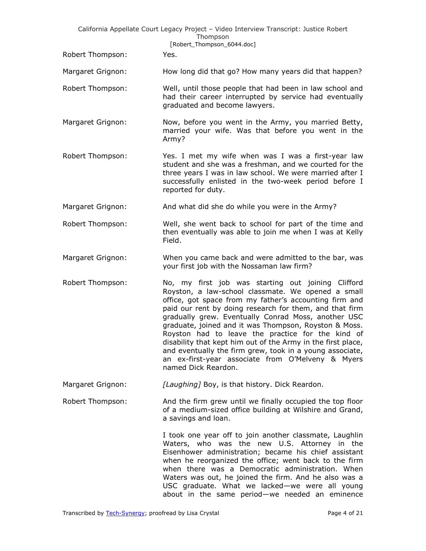|                   | California Appellate Court Legacy Project - Video Interview Transcript: Justice Robert<br>Thompson<br>[Robert_Thompson_6044.doc]                                                                                                                                                                                                                                                                                                                                                                                                                                                                           |
|-------------------|------------------------------------------------------------------------------------------------------------------------------------------------------------------------------------------------------------------------------------------------------------------------------------------------------------------------------------------------------------------------------------------------------------------------------------------------------------------------------------------------------------------------------------------------------------------------------------------------------------|
| Robert Thompson:  | Yes.                                                                                                                                                                                                                                                                                                                                                                                                                                                                                                                                                                                                       |
| Margaret Grignon: | How long did that go? How many years did that happen?                                                                                                                                                                                                                                                                                                                                                                                                                                                                                                                                                      |
| Robert Thompson:  | Well, until those people that had been in law school and<br>had their career interrupted by service had eventually<br>graduated and become lawyers.                                                                                                                                                                                                                                                                                                                                                                                                                                                        |
| Margaret Grignon: | Now, before you went in the Army, you married Betty,<br>married your wife. Was that before you went in the<br>Army?                                                                                                                                                                                                                                                                                                                                                                                                                                                                                        |
| Robert Thompson:  | Yes. I met my wife when was I was a first-year law<br>student and she was a freshman, and we courted for the<br>three years I was in law school. We were married after I<br>successfully enlisted in the two-week period before I<br>reported for duty.                                                                                                                                                                                                                                                                                                                                                    |
| Margaret Grignon: | And what did she do while you were in the Army?                                                                                                                                                                                                                                                                                                                                                                                                                                                                                                                                                            |
| Robert Thompson:  | Well, she went back to school for part of the time and<br>then eventually was able to join me when I was at Kelly<br>Field.                                                                                                                                                                                                                                                                                                                                                                                                                                                                                |
| Margaret Grignon: | When you came back and were admitted to the bar, was<br>your first job with the Nossaman law firm?                                                                                                                                                                                                                                                                                                                                                                                                                                                                                                         |
| Robert Thompson:  | No, my first job was starting out joining Clifford<br>Royston, a law-school classmate. We opened a small<br>office, got space from my father's accounting firm and<br>paid our rent by doing research for them, and that firm<br>gradually grew. Eventually Conrad Moss, another USC<br>graduate, joined and it was Thompson, Royston & Moss.<br>Royston had to leave the practice for the kind of<br>disability that kept him out of the Army in the first place,<br>and eventually the firm grew, took in a young associate,<br>an ex-first-year associate from O'Melveny & Myers<br>named Dick Reardon. |
| Margaret Grignon: | [Laughing] Boy, is that history. Dick Reardon.                                                                                                                                                                                                                                                                                                                                                                                                                                                                                                                                                             |
| Robert Thompson:  | And the firm grew until we finally occupied the top floor<br>of a medium-sized office building at Wilshire and Grand,<br>a savings and loan.                                                                                                                                                                                                                                                                                                                                                                                                                                                               |
|                   | I took one year off to join another classmate, Laughlin<br>Waters, who was the new U.S. Attorney in the<br>Eisenhower administration; became his chief assistant<br>when he reorganized the office; went back to the firm<br>when there was a Democratic administration. When<br>Waters was out, he joined the firm. And he also was a<br>USC graduate. What we lacked-we were all young                                                                                                                                                                                                                   |

about in the same period—we needed an eminence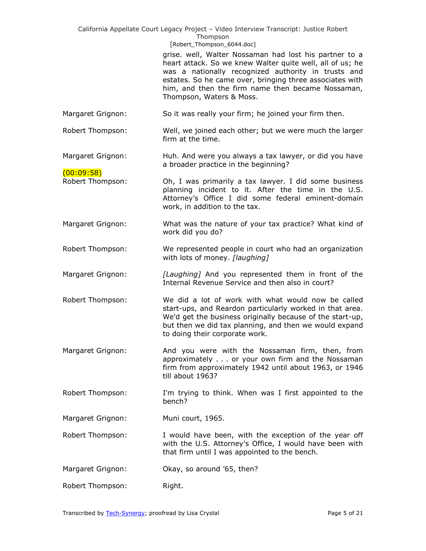|                                | California Appellate Court Legacy Project - Video Interview Transcript: Justice Robert<br>Thompson<br>[Robert_Thompson_6044.doc]                                                                                                                                                                                        |
|--------------------------------|-------------------------------------------------------------------------------------------------------------------------------------------------------------------------------------------------------------------------------------------------------------------------------------------------------------------------|
|                                | grise. well, Walter Nossaman had lost his partner to a<br>heart attack. So we knew Walter quite well, all of us; he<br>was a nationally recognized authority in trusts and<br>estates. So he came over, bringing three associates with<br>him, and then the firm name then became Nossaman,<br>Thompson, Waters & Moss. |
| Margaret Grignon:              | So it was really your firm; he joined your firm then.                                                                                                                                                                                                                                                                   |
| Robert Thompson:               | Well, we joined each other; but we were much the larger<br>firm at the time.                                                                                                                                                                                                                                            |
| Margaret Grignon:              | Huh. And were you always a tax lawyer, or did you have<br>a broader practice in the beginning?                                                                                                                                                                                                                          |
| (00:09:58)<br>Robert Thompson: | Oh, I was primarily a tax lawyer. I did some business<br>planning incident to it. After the time in the U.S.<br>Attorney's Office I did some federal eminent-domain<br>work, in addition to the tax.                                                                                                                    |
| Margaret Grignon:              | What was the nature of your tax practice? What kind of<br>work did you do?                                                                                                                                                                                                                                              |
| Robert Thompson:               | We represented people in court who had an organization<br>with lots of money. [laughing]                                                                                                                                                                                                                                |
| Margaret Grignon:              | [Laughing] And you represented them in front of the<br>Internal Revenue Service and then also in court?                                                                                                                                                                                                                 |
| Robert Thompson:               | We did a lot of work with what would now be called<br>start-ups, and Reardon particularly worked in that area.<br>We'd get the business originally because of the start-up,<br>but then we did tax planning, and then we would expand<br>to doing their corporate work.                                                 |
| Margaret Grignon:              | And you were with the Nossaman firm, then, from<br>approximately or your own firm and the Nossaman<br>firm from approximately 1942 until about 1963, or 1946<br>till about 1963?                                                                                                                                        |
| Robert Thompson:               | I'm trying to think. When was I first appointed to the<br>bench?                                                                                                                                                                                                                                                        |
| Margaret Grignon:              | Muni court, 1965.                                                                                                                                                                                                                                                                                                       |
| Robert Thompson:               | I would have been, with the exception of the year off<br>with the U.S. Attorney's Office, I would have been with<br>that firm until I was appointed to the bench.                                                                                                                                                       |
| Margaret Grignon:              | Okay, so around '65, then?                                                                                                                                                                                                                                                                                              |
| Robert Thompson:               | Right.                                                                                                                                                                                                                                                                                                                  |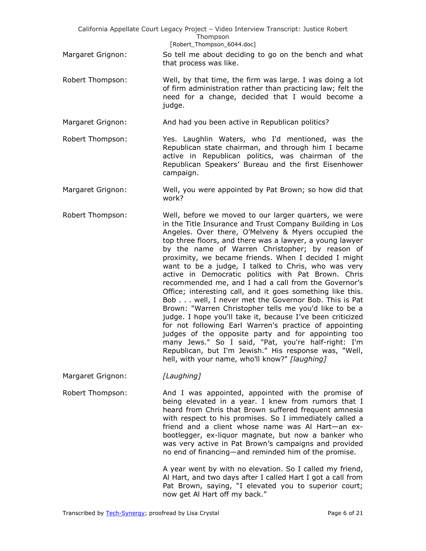|                   | California Appellate Court Legacy Project - Video Interview Transcript: Justice Robert<br>Thompson<br>[Robert_Thompson_6044.doc]                                                                                                                                                                                                                                                                                                                                                                                                                                                                                                                                                                                                                                                                                                                                                                                                                                                                                                                      |
|-------------------|-------------------------------------------------------------------------------------------------------------------------------------------------------------------------------------------------------------------------------------------------------------------------------------------------------------------------------------------------------------------------------------------------------------------------------------------------------------------------------------------------------------------------------------------------------------------------------------------------------------------------------------------------------------------------------------------------------------------------------------------------------------------------------------------------------------------------------------------------------------------------------------------------------------------------------------------------------------------------------------------------------------------------------------------------------|
| Margaret Grignon: | So tell me about deciding to go on the bench and what<br>that process was like.                                                                                                                                                                                                                                                                                                                                                                                                                                                                                                                                                                                                                                                                                                                                                                                                                                                                                                                                                                       |
| Robert Thompson:  | Well, by that time, the firm was large. I was doing a lot<br>of firm administration rather than practicing law; felt the<br>need for a change, decided that I would become a<br>judge.                                                                                                                                                                                                                                                                                                                                                                                                                                                                                                                                                                                                                                                                                                                                                                                                                                                                |
| Margaret Grignon: | And had you been active in Republican politics?                                                                                                                                                                                                                                                                                                                                                                                                                                                                                                                                                                                                                                                                                                                                                                                                                                                                                                                                                                                                       |
| Robert Thompson:  | Yes. Laughlin Waters, who I'd mentioned, was the<br>Republican state chairman, and through him I became<br>active in Republican politics, was chairman of the<br>Republican Speakers' Bureau and the first Eisenhower<br>campaign.                                                                                                                                                                                                                                                                                                                                                                                                                                                                                                                                                                                                                                                                                                                                                                                                                    |
| Margaret Grignon: | Well, you were appointed by Pat Brown; so how did that<br>work?                                                                                                                                                                                                                                                                                                                                                                                                                                                                                                                                                                                                                                                                                                                                                                                                                                                                                                                                                                                       |
| Robert Thompson:  | Well, before we moved to our larger quarters, we were<br>in the Title Insurance and Trust Company Building in Los<br>Angeles. Over there, O'Melveny & Myers occupied the<br>top three floors, and there was a lawyer, a young lawyer<br>by the name of Warren Christopher; by reason of<br>proximity, we became friends. When I decided I might<br>want to be a judge, I talked to Chris, who was very<br>active in Democratic politics with Pat Brown. Chris<br>recommended me, and I had a call from the Governor's<br>Office; interesting call, and it goes something like this.<br>Bob well, I never met the Governor Bob. This is Pat<br>Brown: "Warren Christopher tells me you'd like to be a<br>judge. I hope you'll take it, because I've been criticized<br>for not following Earl Warren's practice of appointing<br>judges of the opposite party and for appointing too<br>many Jews." So I said, "Pat, you're half-right: I'm<br>Republican, but I'm Jewish." His response was, "Well,<br>hell, with your name, who'll know?" [laughing] |
| Margaret Grignon: | [Laughing]                                                                                                                                                                                                                                                                                                                                                                                                                                                                                                                                                                                                                                                                                                                                                                                                                                                                                                                                                                                                                                            |
| Robert Thompson:  | And I was appointed, appointed with the promise of<br>being elevated in a year. I knew from rumors that I<br>heard from Chris that Brown suffered frequent amnesia<br>with respect to his promises. So I immediately called a<br>friend and a client whose name was Al Hart-an ex-<br>bootlegger, ex-liquor magnate, but now a banker who<br>was very active in Pat Brown's campaigns and provided<br>no end of financing—and reminded him of the promise.                                                                                                                                                                                                                                                                                                                                                                                                                                                                                                                                                                                            |
|                   | A year went by with no elevation. So I called my friend,<br>Al Hart, and two days after I called Hart I got a call from<br>Pat Brown, saying, "I elevated you to superior court;<br>now get Al Hart off my back."                                                                                                                                                                                                                                                                                                                                                                                                                                                                                                                                                                                                                                                                                                                                                                                                                                     |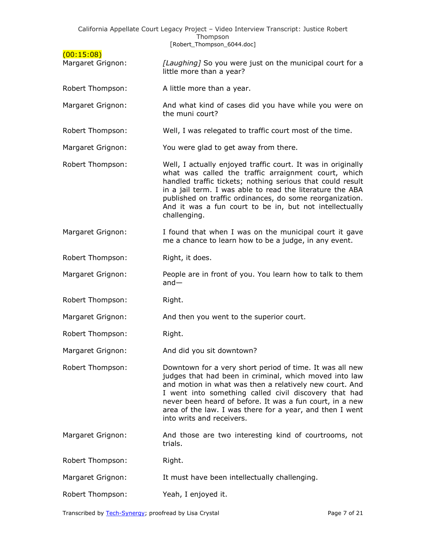|                                 | California Appellate Court Legacy Project - Video Interview Transcript: Justice Robert<br>Thompson<br>[Robert_Thompson_6044.doc]                                                                                                                                                                                                                                                            |
|---------------------------------|---------------------------------------------------------------------------------------------------------------------------------------------------------------------------------------------------------------------------------------------------------------------------------------------------------------------------------------------------------------------------------------------|
| (00:15:08)<br>Margaret Grignon: | [Laughing] So you were just on the municipal court for a<br>little more than a year?                                                                                                                                                                                                                                                                                                        |
| Robert Thompson:                | A little more than a year.                                                                                                                                                                                                                                                                                                                                                                  |
| Margaret Grignon:               | And what kind of cases did you have while you were on<br>the muni court?                                                                                                                                                                                                                                                                                                                    |
| Robert Thompson:                | Well, I was relegated to traffic court most of the time.                                                                                                                                                                                                                                                                                                                                    |
| Margaret Grignon:               | You were glad to get away from there.                                                                                                                                                                                                                                                                                                                                                       |
| Robert Thompson:                | Well, I actually enjoyed traffic court. It was in originally<br>what was called the traffic arraignment court, which<br>handled traffic tickets; nothing serious that could result<br>in a jail term. I was able to read the literature the ABA<br>published on traffic ordinances, do some reorganization.<br>And it was a fun court to be in, but not intellectually<br>challenging.      |
| Margaret Grignon:               | I found that when I was on the municipal court it gave<br>me a chance to learn how to be a judge, in any event.                                                                                                                                                                                                                                                                             |
| Robert Thompson:                | Right, it does.                                                                                                                                                                                                                                                                                                                                                                             |
| Margaret Grignon:               | People are in front of you. You learn how to talk to them<br>$and -$                                                                                                                                                                                                                                                                                                                        |
| Robert Thompson:                | Right.                                                                                                                                                                                                                                                                                                                                                                                      |
| Margaret Grignon:               | And then you went to the superior court.                                                                                                                                                                                                                                                                                                                                                    |
| Robert Thompson:                | Right.                                                                                                                                                                                                                                                                                                                                                                                      |
| Margaret Grignon:               | And did you sit downtown?                                                                                                                                                                                                                                                                                                                                                                   |
| Robert Thompson:                | Downtown for a very short period of time. It was all new<br>judges that had been in criminal, which moved into law<br>and motion in what was then a relatively new court. And<br>I went into something called civil discovery that had<br>never been heard of before. It was a fun court, in a new<br>area of the law. I was there for a year, and then I went<br>into writs and receivers. |
| Margaret Grignon:               | And those are two interesting kind of courtrooms, not<br>trials.                                                                                                                                                                                                                                                                                                                            |
| Robert Thompson:                | Right.                                                                                                                                                                                                                                                                                                                                                                                      |
| Margaret Grignon:               | It must have been intellectually challenging.                                                                                                                                                                                                                                                                                                                                               |
| Robert Thompson:                | Yeah, I enjoyed it.                                                                                                                                                                                                                                                                                                                                                                         |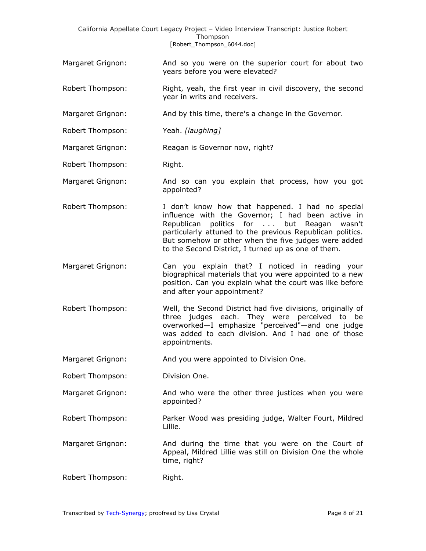California Appellate Court Legacy Project – Video Interview Transcript: Justice Robert Thompson [Robert\_Thompson\_6044.doc]

- Margaret Grignon: And so you were on the superior court for about two years before you were elevated?
- Robert Thompson: Right, yeah, the first year in civil discovery, the second year in writs and receivers.
- Margaret Grignon: And by this time, there's a change in the Governor.
- Robert Thompson: Yeah. *[laughing]*
- Margaret Grignon: Reagan is Governor now, right?
- Robert Thompson: Right.
- Margaret Grignon: And so can you explain that process, how you got appointed?
- Robert Thompson: I don't know how that happened. I had no special influence with the Governor; I had been active in Republican politics for . . . but Reagan wasn't particularly attuned to the previous Republican politics. But somehow or other when the five judges were added to the Second District, I turned up as one of them.
- Margaret Grignon: Can you explain that? I noticed in reading your biographical materials that you were appointed to a new position. Can you explain what the court was like before and after your appointment?
- Robert Thompson: Well, the Second District had five divisions, originally of three judges each. They were perceived to be overworked—I emphasize "perceived"—and one judge was added to each division. And I had one of those appointments.
- Margaret Grignon: And you were appointed to Division One.
- Robert Thompson: Division One.
- Margaret Grignon: And who were the other three justices when you were appointed?
- Robert Thompson: Parker Wood was presiding judge, Walter Fourt, Mildred Lillie.
- Margaret Grignon: And during the time that you were on the Court of Appeal, Mildred Lillie was still on Division One the whole time, right?
- Robert Thompson: Right.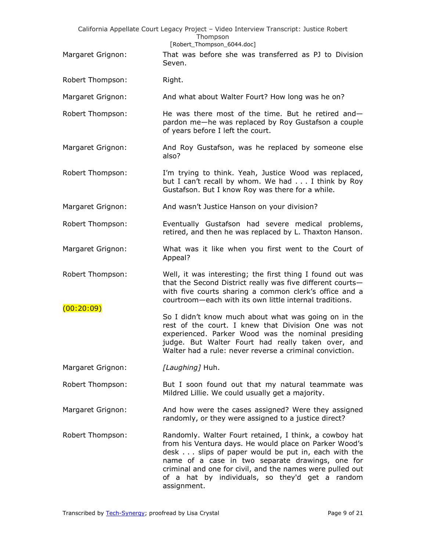|                   | California Appellate Court Legacy Project - Video Interview Transcript: Justice Robert<br>Thompson<br>[Robert Thompson 6044.doc]                                                                                                                                                                                                                          |
|-------------------|-----------------------------------------------------------------------------------------------------------------------------------------------------------------------------------------------------------------------------------------------------------------------------------------------------------------------------------------------------------|
| Margaret Grignon: | That was before she was transferred as PJ to Division<br>Seven.                                                                                                                                                                                                                                                                                           |
| Robert Thompson:  | Right.                                                                                                                                                                                                                                                                                                                                                    |
| Margaret Grignon: | And what about Walter Fourt? How long was he on?                                                                                                                                                                                                                                                                                                          |
| Robert Thompson:  | He was there most of the time. But he retired and-<br>pardon me-he was replaced by Roy Gustafson a couple<br>of years before I left the court.                                                                                                                                                                                                            |
| Margaret Grignon: | And Roy Gustafson, was he replaced by someone else<br>also?                                                                                                                                                                                                                                                                                               |
| Robert Thompson:  | I'm trying to think. Yeah, Justice Wood was replaced,<br>but I can't recall by whom. We had I think by Roy<br>Gustafson. But I know Roy was there for a while.                                                                                                                                                                                            |
| Margaret Grignon: | And wasn't Justice Hanson on your division?                                                                                                                                                                                                                                                                                                               |
| Robert Thompson:  | Eventually Gustafson had severe medical problems,<br>retired, and then he was replaced by L. Thaxton Hanson.                                                                                                                                                                                                                                              |
| Margaret Grignon: | What was it like when you first went to the Court of<br>Appeal?                                                                                                                                                                                                                                                                                           |
| Robert Thompson:  | Well, it was interesting; the first thing I found out was<br>that the Second District really was five different courts-<br>with five courts sharing a common clerk's office and a<br>courtroom-each with its own little internal traditions.                                                                                                              |
| (00:20:09)        | So I didn't know much about what was going on in the<br>rest of the court. I knew that Division One was not<br>experienced. Parker Wood was the nominal presiding<br>judge. But Walter Fourt had really taken over, and<br>Walter had a rule: never reverse a criminal conviction.                                                                        |
| Margaret Grignon: | [Laughing] Huh.                                                                                                                                                                                                                                                                                                                                           |
| Robert Thompson:  | But I soon found out that my natural teammate was<br>Mildred Lillie. We could usually get a majority.                                                                                                                                                                                                                                                     |
| Margaret Grignon: | And how were the cases assigned? Were they assigned<br>randomly, or they were assigned to a justice direct?                                                                                                                                                                                                                                               |
| Robert Thompson:  | Randomly. Walter Fourt retained, I think, a cowboy hat<br>from his Ventura days. He would place on Parker Wood's<br>desk slips of paper would be put in, each with the<br>name of a case in two separate drawings, one for<br>criminal and one for civil, and the names were pulled out<br>of a hat by individuals, so they'd get a random<br>assignment. |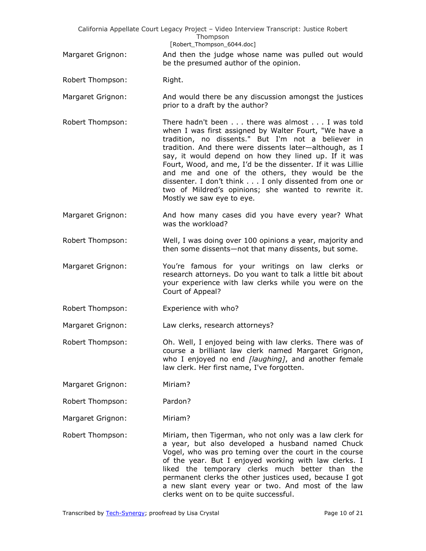|                   | California Appellate Court Legacy Project - Video Interview Transcript: Justice Robert<br>Thompson<br>[Robert_Thompson_6044.doc]                                                                                                                                                                                                                                                                                                                                                                                                                |
|-------------------|-------------------------------------------------------------------------------------------------------------------------------------------------------------------------------------------------------------------------------------------------------------------------------------------------------------------------------------------------------------------------------------------------------------------------------------------------------------------------------------------------------------------------------------------------|
| Margaret Grignon: | And then the judge whose name was pulled out would<br>be the presumed author of the opinion.                                                                                                                                                                                                                                                                                                                                                                                                                                                    |
| Robert Thompson:  | Right.                                                                                                                                                                                                                                                                                                                                                                                                                                                                                                                                          |
| Margaret Grignon: | And would there be any discussion amongst the justices<br>prior to a draft by the author?                                                                                                                                                                                                                                                                                                                                                                                                                                                       |
| Robert Thompson:  | There hadn't been there was almost I was told<br>when I was first assigned by Walter Fourt, "We have a<br>tradition, no dissents." But I'm not a believer in<br>tradition. And there were dissents later-although, as I<br>say, it would depend on how they lined up. If it was<br>Fourt, Wood, and me, I'd be the dissenter. If it was Lillie<br>and me and one of the others, they would be the<br>dissenter. I don't think I only dissented from one or<br>two of Mildred's opinions; she wanted to rewrite it.<br>Mostly we saw eye to eye. |
| Margaret Grignon: | And how many cases did you have every year? What<br>was the workload?                                                                                                                                                                                                                                                                                                                                                                                                                                                                           |
| Robert Thompson:  | Well, I was doing over 100 opinions a year, majority and<br>then some dissents-not that many dissents, but some.                                                                                                                                                                                                                                                                                                                                                                                                                                |
| Margaret Grignon: | You're famous for your writings on law clerks or<br>research attorneys. Do you want to talk a little bit about<br>your experience with law clerks while you were on the<br>Court of Appeal?                                                                                                                                                                                                                                                                                                                                                     |
| Robert Thompson:  | Experience with who?                                                                                                                                                                                                                                                                                                                                                                                                                                                                                                                            |
| Margaret Grignon: | Law clerks, research attorneys?                                                                                                                                                                                                                                                                                                                                                                                                                                                                                                                 |
| Robert Thompson:  | Oh. Well, I enjoyed being with law clerks. There was of<br>course a brilliant law clerk named Margaret Grignon,<br>who I enjoyed no end [laughing], and another female<br>law clerk. Her first name, I've forgotten.                                                                                                                                                                                                                                                                                                                            |
| Margaret Grignon: | Miriam?                                                                                                                                                                                                                                                                                                                                                                                                                                                                                                                                         |
| Robert Thompson:  | Pardon?                                                                                                                                                                                                                                                                                                                                                                                                                                                                                                                                         |
| Margaret Grignon: | Miriam?                                                                                                                                                                                                                                                                                                                                                                                                                                                                                                                                         |
| Robert Thompson:  | Miriam, then Tigerman, who not only was a law clerk for<br>a year, but also developed a husband named Chuck<br>Vogel, who was pro teming over the court in the course<br>of the year. But I enjoyed working with law clerks. I<br>liked the temporary clerks much better than the<br>permanent clerks the other justices used, because I got<br>a new slant every year or two. And most of the law<br>clerks went on to be quite successful.                                                                                                    |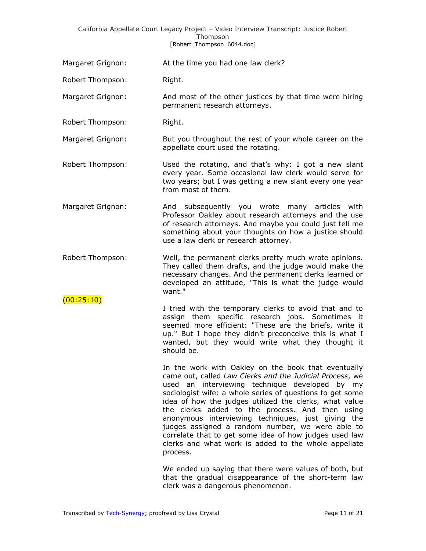## California Appellate Court Legacy Project – Video Interview Transcript: Justice Robert Thompson [Robert\_Thompson\_6044.doc]

| Margaret Grignon: | At the time you had one law clerk? |
|-------------------|------------------------------------|
|-------------------|------------------------------------|

Robert Thompson: Right.

Margaret Grignon: And most of the other justices by that time were hiring permanent research attorneys.

Robert Thompson: Right.

 $(00:25:10)$ 

Margaret Grignon: But you throughout the rest of your whole career on the appellate court used the rotating.

Robert Thompson: Used the rotating, and that's why: I got a new slant every year. Some occasional law clerk would serve for two years; but I was getting a new slant every one year from most of them.

Margaret Grignon: And subsequently you wrote many articles with Professor Oakley about research attorneys and the use of research attorneys. And maybe you could just tell me something about your thoughts on how a justice should use a law clerk or research attorney.

Robert Thompson: Well, the permanent clerks pretty much wrote opinions. They called them drafts, and the judge would make the necessary changes. And the permanent clerks learned or developed an attitude, "This is what the judge would want."

> I tried with the temporary clerks to avoid that and to assign them specific research jobs. Sometimes it seemed more efficient: "These are the briefs, write it up." But I hope they didn't preconceive this is what I wanted, but they would write what they thought it should be.

> > In the work with Oakley on the book that eventually came out, called *Law Clerks and the Judicial Process*, we used an interviewing technique developed by my sociologist wife: a whole series of questions to get some idea of how the judges utilized the clerks, what value the clerks added to the process. And then using anonymous interviewing techniques, just giving the judges assigned a random number, we were able to correlate that to get some idea of how judges used law clerks and what work is added to the whole appellate process.

> > We ended up saying that there were values of both, but that the gradual disappearance of the short-term law clerk was a dangerous phenomenon.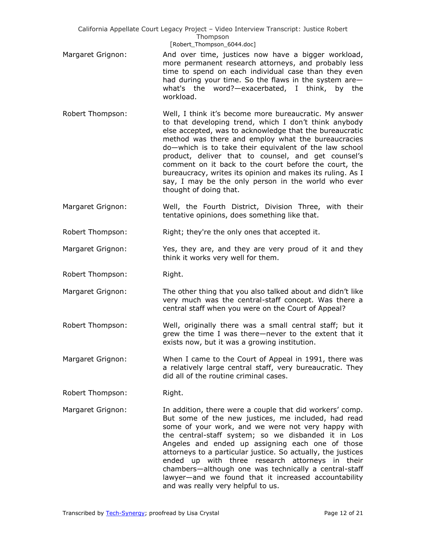California Appellate Court Legacy Project – Video Interview Transcript: Justice Robert Thompson [Robert Thompson 6044.doc]

- Margaret Grignon: And over time, justices now have a bigger workload, more permanent research attorneys, and probably less time to spend on each individual case than they even had during your time. So the flaws in the system are what's the word?—exacerbated, I think, by the workload.
- Robert Thompson: Well, I think it's become more bureaucratic. My answer to that developing trend, which I don't think anybody else accepted, was to acknowledge that the bureaucratic method was there and employ what the bureaucracies do—which is to take their equivalent of the law school product, deliver that to counsel, and get counsel's comment on it back to the court before the court, the bureaucracy, writes its opinion and makes its ruling. As I say, I may be the only person in the world who ever thought of doing that.
- Margaret Grignon: Well, the Fourth District, Division Three, with their tentative opinions, does something like that.

Robert Thompson: Right; they're the only ones that accepted it.

- Margaret Grignon: Yes, they are, and they are very proud of it and they think it works very well for them.
- Robert Thompson: Right.
- Margaret Grignon: The other thing that you also talked about and didn't like very much was the central-staff concept. Was there a central staff when you were on the Court of Appeal?
- Robert Thompson: Well, originally there was a small central staff; but it grew the time I was there—never to the extent that it exists now, but it was a growing institution.
- Margaret Grignon: When I came to the Court of Appeal in 1991, there was a relatively large central staff, very bureaucratic. They did all of the routine criminal cases.
- Robert Thompson: Right.
- Margaret Grignon: In addition, there were a couple that did workers' comp. But some of the new justices, me included, had read some of your work, and we were not very happy with the central-staff system; so we disbanded it in Los Angeles and ended up assigning each one of those attorneys to a particular justice. So actually, the justices ended up with three research attorneys in their chambers—although one was technically a central-staff lawyer—and we found that it increased accountability and was really very helpful to us.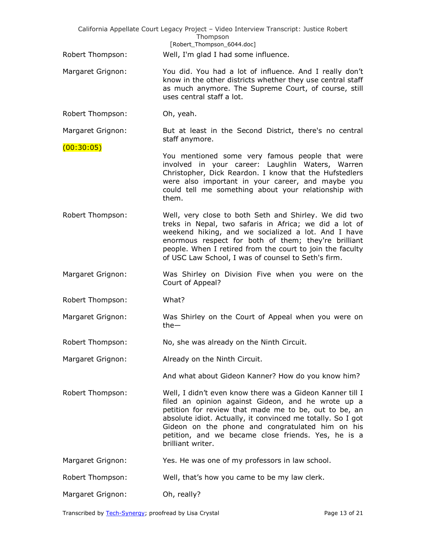|                                 | California Appellate Court Legacy Project - Video Interview Transcript: Justice Robert<br>Thompson<br>[Robert_Thompson_6044.doc]                                                                                                                                                                                                                                        |
|---------------------------------|-------------------------------------------------------------------------------------------------------------------------------------------------------------------------------------------------------------------------------------------------------------------------------------------------------------------------------------------------------------------------|
| Robert Thompson:                | Well, I'm glad I had some influence.                                                                                                                                                                                                                                                                                                                                    |
| Margaret Grignon:               | You did. You had a lot of influence. And I really don't<br>know in the other districts whether they use central staff<br>as much anymore. The Supreme Court, of course, still<br>uses central staff a lot.                                                                                                                                                              |
| Robert Thompson:                | Oh, yeah.                                                                                                                                                                                                                                                                                                                                                               |
| Margaret Grignon:<br>(00:30:05) | But at least in the Second District, there's no central<br>staff anymore.                                                                                                                                                                                                                                                                                               |
|                                 | You mentioned some very famous people that were<br>involved in your career: Laughlin Waters, Warren<br>Christopher, Dick Reardon. I know that the Hufstedlers<br>were also important in your career, and maybe you<br>could tell me something about your relationship with<br>them.                                                                                     |
| Robert Thompson:                | Well, very close to both Seth and Shirley. We did two<br>treks in Nepal, two safaris in Africa; we did a lot of<br>weekend hiking, and we socialized a lot. And I have<br>enormous respect for both of them; they're brilliant<br>people. When I retired from the court to join the faculty<br>of USC Law School, I was of counsel to Seth's firm.                      |
| Margaret Grignon:               | Was Shirley on Division Five when you were on the<br>Court of Appeal?                                                                                                                                                                                                                                                                                                   |
| Robert Thompson:                | What?                                                                                                                                                                                                                                                                                                                                                                   |
| Margaret Grignon:               | Was Shirley on the Court of Appeal when you were on<br>$the-$                                                                                                                                                                                                                                                                                                           |
| Robert Thompson:                | No, she was already on the Ninth Circuit.                                                                                                                                                                                                                                                                                                                               |
| Margaret Grignon:               | Already on the Ninth Circuit.                                                                                                                                                                                                                                                                                                                                           |
|                                 | And what about Gideon Kanner? How do you know him?                                                                                                                                                                                                                                                                                                                      |
| Robert Thompson:                | Well, I didn't even know there was a Gideon Kanner till I<br>filed an opinion against Gideon, and he wrote up a<br>petition for review that made me to be, out to be, an<br>absolute idiot. Actually, it convinced me totally. So I got<br>Gideon on the phone and congratulated him on his<br>petition, and we became close friends. Yes, he is a<br>brilliant writer. |
| Margaret Grignon:               | Yes. He was one of my professors in law school.                                                                                                                                                                                                                                                                                                                         |
| Robert Thompson:                | Well, that's how you came to be my law clerk.                                                                                                                                                                                                                                                                                                                           |
| Margaret Grignon:               | Oh, really?                                                                                                                                                                                                                                                                                                                                                             |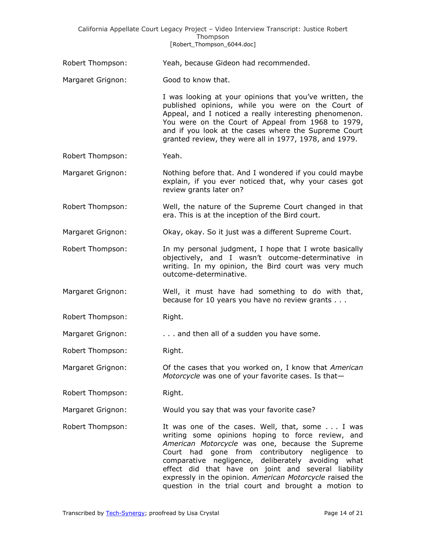## California Appellate Court Legacy Project – Video Interview Transcript: Justice Robert Thompson [Robert Thompson 6044.doc]

- Robert Thompson: Yeah, because Gideon had recommended.
- Margaret Grignon: Good to know that.

I was looking at your opinions that you've written, the published opinions, while you were on the Court of Appeal, and I noticed a really interesting phenomenon. You were on the Court of Appeal from 1968 to 1979, and if you look at the cases where the Supreme Court granted review, they were all in 1977, 1978, and 1979.

Robert Thompson: Yeah.

Margaret Grignon: Nothing before that. And I wondered if you could maybe explain, if you ever noticed that, why your cases got review grants later on?

Robert Thompson: Well, the nature of the Supreme Court changed in that era. This is at the inception of the Bird court.

Margaret Grignon: Okay, okay. So it just was a different Supreme Court.

- Robert Thompson: In my personal judgment, I hope that I wrote basically objectively, and I wasn't outcome-determinative in writing. In my opinion, the Bird court was very much outcome-determinative.
- Margaret Grignon: Well, it must have had something to do with that, because for 10 years you have no review grants . . .
- Robert Thompson: Right.
- Margaret Grignon: . . . . . . . . and then all of a sudden you have some.
- Robert Thompson: Right.
- Margaret Grignon: Of the cases that you worked on, I know that *American Motorcycle* was one of your favorite cases. Is that—
- Robert Thompson: Right.
- Margaret Grignon: Would you say that was your favorite case?
- Robert Thompson: It was one of the cases. Well, that, some . . . I was writing some opinions hoping to force review, and *American Motorcycle* was one, because the Supreme Court had gone from contributory negligence to comparative negligence, deliberately avoiding what effect did that have on joint and several liability expressly in the opinion. *American Motorcycle* raised the question in the trial court and brought a motion to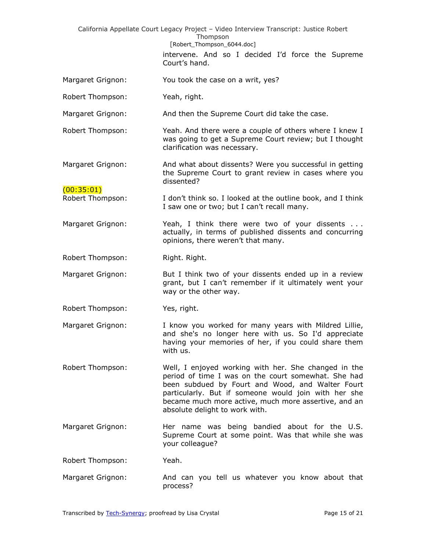| California Appellate Court Legacy Project - Video Interview Transcript: Justice Robert<br>Thompson |                                                                                                                                                                                                                                                                                                                   |  |
|----------------------------------------------------------------------------------------------------|-------------------------------------------------------------------------------------------------------------------------------------------------------------------------------------------------------------------------------------------------------------------------------------------------------------------|--|
|                                                                                                    | [Robert_Thompson_6044.doc]<br>intervene. And so I decided I'd force the Supreme<br>Court's hand.                                                                                                                                                                                                                  |  |
| Margaret Grignon:                                                                                  | You took the case on a writ, yes?                                                                                                                                                                                                                                                                                 |  |
| Robert Thompson:                                                                                   | Yeah, right.                                                                                                                                                                                                                                                                                                      |  |
| Margaret Grignon:                                                                                  | And then the Supreme Court did take the case.                                                                                                                                                                                                                                                                     |  |
| Robert Thompson:                                                                                   | Yeah. And there were a couple of others where I knew I<br>was going to get a Supreme Court review; but I thought<br>clarification was necessary.                                                                                                                                                                  |  |
| Margaret Grignon:                                                                                  | And what about dissents? Were you successful in getting<br>the Supreme Court to grant review in cases where you<br>dissented?                                                                                                                                                                                     |  |
| (00:35:01)<br>Robert Thompson:                                                                     | I don't think so. I looked at the outline book, and I think<br>I saw one or two; but I can't recall many.                                                                                                                                                                                                         |  |
| Margaret Grignon:                                                                                  | Yeah, I think there were two of your dissents<br>actually, in terms of published dissents and concurring<br>opinions, there weren't that many.                                                                                                                                                                    |  |
| Robert Thompson:                                                                                   | Right. Right.                                                                                                                                                                                                                                                                                                     |  |
| Margaret Grignon:                                                                                  | But I think two of your dissents ended up in a review<br>grant, but I can't remember if it ultimately went your<br>way or the other way.                                                                                                                                                                          |  |
| Robert Thompson:                                                                                   | Yes, right.                                                                                                                                                                                                                                                                                                       |  |
| Margaret Grignon:                                                                                  | I know you worked for many years with Mildred Lillie,<br>and she's no longer here with us. So I'd appreciate<br>having your memories of her, if you could share them<br>with us.                                                                                                                                  |  |
| Robert Thompson:                                                                                   | Well, I enjoyed working with her. She changed in the<br>period of time I was on the court somewhat. She had<br>been subdued by Fourt and Wood, and Walter Fourt<br>particularly. But if someone would join with her she<br>became much more active, much more assertive, and an<br>absolute delight to work with. |  |
| Margaret Grignon:                                                                                  | Her name was being bandied about for the U.S.<br>Supreme Court at some point. Was that while she was<br>your colleague?                                                                                                                                                                                           |  |
| Robert Thompson:                                                                                   | Yeah.                                                                                                                                                                                                                                                                                                             |  |
| Margaret Grignon:                                                                                  | And can you tell us whatever you know about that<br>process?                                                                                                                                                                                                                                                      |  |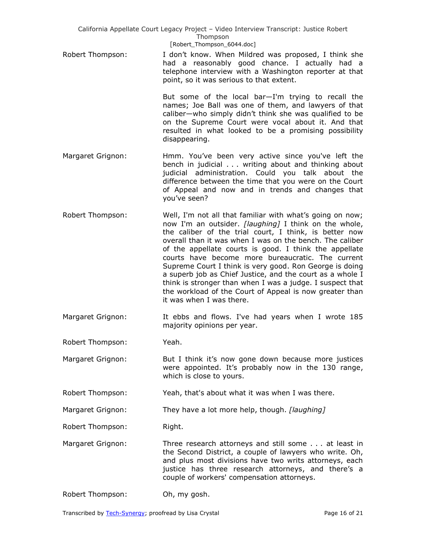California Appellate Court Legacy Project – Video Interview Transcript: Justice Robert Thompson [Robert\_Thompson\_6044.doc]

Robert Thompson: I don't know. When Mildred was proposed, I think she had a reasonably good chance. I actually had a telephone interview with a Washington reporter at that point, so it was serious to that extent.

> But some of the local bar—I'm trying to recall the names; Joe Ball was one of them, and lawyers of that caliber—who simply didn't think she was qualified to be on the Supreme Court were vocal about it. And that resulted in what looked to be a promising possibility disappearing.

- Margaret Grignon: Hmm. You've been very active since you've left the bench in judicial . . . writing about and thinking about judicial administration. Could you talk about the difference between the time that you were on the Court of Appeal and now and in trends and changes that you've seen?
- Robert Thompson: Well, I'm not all that familiar with what's going on now; now I'm an outsider. *[laughing]* I think on the whole, the caliber of the trial court, I think, is better now overall than it was when I was on the bench. The caliber of the appellate courts is good. I think the appellate courts have become more bureaucratic. The current Supreme Court I think is very good. Ron George is doing a superb job as Chief Justice, and the court as a whole I think is stronger than when I was a judge. I suspect that the workload of the Court of Appeal is now greater than it was when I was there.
- Margaret Grignon: It ebbs and flows. I've had years when I wrote 185 majority opinions per year.
- Robert Thompson: Yeah.
- Margaret Grignon: But I think it's now gone down because more justices were appointed. It's probably now in the 130 range, which is close to yours.

Robert Thompson: Yeah, that's about what it was when I was there.

Margaret Grignon: They have a lot more help, though. *[laughing]*

Robert Thompson: Right.

- Margaret Grignon: Three research attorneys and still some . . . at least in the Second District, a couple of lawyers who write. Oh, and plus most divisions have two writs attorneys, each justice has three research attorneys, and there's a couple of workers' compensation attorneys.
- Robert Thompson: Oh, my gosh.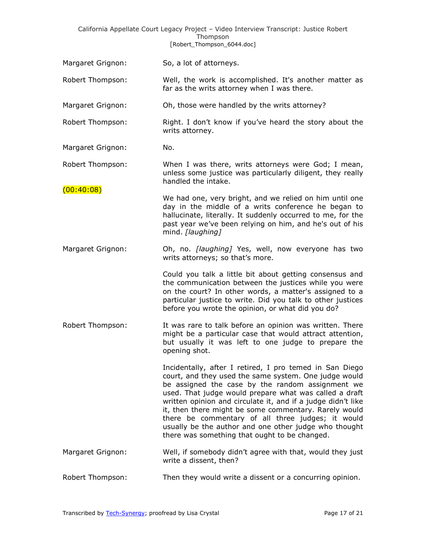|                   | California Appellate Court Legacy Project - Video Interview Transcript: Justice Robert<br>Thompson<br>[Robert_Thompson_6044.doc]                                                                                                                                                                                                                                                                                                                                                                                       |
|-------------------|------------------------------------------------------------------------------------------------------------------------------------------------------------------------------------------------------------------------------------------------------------------------------------------------------------------------------------------------------------------------------------------------------------------------------------------------------------------------------------------------------------------------|
| Margaret Grignon: | So, a lot of attorneys.                                                                                                                                                                                                                                                                                                                                                                                                                                                                                                |
| Robert Thompson:  | Well, the work is accomplished. It's another matter as<br>far as the writs attorney when I was there.                                                                                                                                                                                                                                                                                                                                                                                                                  |
| Margaret Grignon: | Oh, those were handled by the writs attorney?                                                                                                                                                                                                                                                                                                                                                                                                                                                                          |
| Robert Thompson:  | Right. I don't know if you've heard the story about the<br>writs attorney.                                                                                                                                                                                                                                                                                                                                                                                                                                             |
| Margaret Grignon: | No.                                                                                                                                                                                                                                                                                                                                                                                                                                                                                                                    |
| Robert Thompson:  | When I was there, writs attorneys were God; I mean,<br>unless some justice was particularly diligent, they really<br>handled the intake.                                                                                                                                                                                                                                                                                                                                                                               |
| (00:40:08)        | We had one, very bright, and we relied on him until one<br>day in the middle of a writs conference he began to<br>hallucinate, literally. It suddenly occurred to me, for the<br>past year we've been relying on him, and he's out of his<br>mind. [laughing]                                                                                                                                                                                                                                                          |
| Margaret Grignon: | Oh, no. [laughing] Yes, well, now everyone has two<br>writs attorneys; so that's more.                                                                                                                                                                                                                                                                                                                                                                                                                                 |
|                   | Could you talk a little bit about getting consensus and<br>the communication between the justices while you were<br>on the court? In other words, a matter's assigned to a<br>particular justice to write. Did you talk to other justices<br>before you wrote the opinion, or what did you do?                                                                                                                                                                                                                         |
| Robert Thompson:  | It was rare to talk before an opinion was written. There<br>might be a particular case that would attract attention,<br>but usually it was left to one judge to prepare the<br>opening shot.                                                                                                                                                                                                                                                                                                                           |
|                   | Incidentally, after I retired, I pro temed in San Diego<br>court, and they used the same system. One judge would<br>be assigned the case by the random assignment we<br>used. That judge would prepare what was called a draft<br>written opinion and circulate it, and if a judge didn't like<br>it, then there might be some commentary. Rarely would<br>there be commentary of all three judges; it would<br>usually be the author and one other judge who thought<br>there was something that ought to be changed. |
| Margaret Grignon: | Well, if somebody didn't agree with that, would they just<br>write a dissent, then?                                                                                                                                                                                                                                                                                                                                                                                                                                    |
| Robert Thompson:  | Then they would write a dissent or a concurring opinion.                                                                                                                                                                                                                                                                                                                                                                                                                                                               |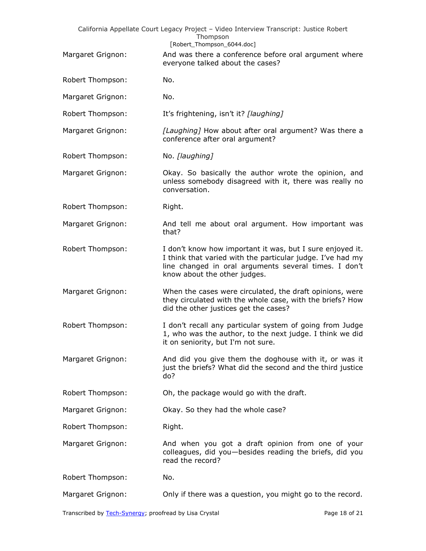| California Appellate Court Legacy Project - Video Interview Transcript: Justice Robert |                                                                                                                                                                                                                  |  |
|----------------------------------------------------------------------------------------|------------------------------------------------------------------------------------------------------------------------------------------------------------------------------------------------------------------|--|
|                                                                                        | Thompson<br>[Robert_Thompson_6044.doc]                                                                                                                                                                           |  |
| Margaret Grignon:                                                                      | And was there a conference before oral argument where<br>everyone talked about the cases?                                                                                                                        |  |
| Robert Thompson:                                                                       | No.                                                                                                                                                                                                              |  |
| Margaret Grignon:                                                                      | No.                                                                                                                                                                                                              |  |
| Robert Thompson:                                                                       | It's frightening, isn't it? [laughing]                                                                                                                                                                           |  |
| Margaret Grignon:                                                                      | [Laughing] How about after oral argument? Was there a<br>conference after oral argument?                                                                                                                         |  |
| Robert Thompson:                                                                       | No. [laughing]                                                                                                                                                                                                   |  |
| Margaret Grignon:                                                                      | Okay. So basically the author wrote the opinion, and<br>unless somebody disagreed with it, there was really no<br>conversation.                                                                                  |  |
| Robert Thompson:                                                                       | Right.                                                                                                                                                                                                           |  |
| Margaret Grignon:                                                                      | And tell me about oral argument. How important was<br>that?                                                                                                                                                      |  |
| Robert Thompson:                                                                       | I don't know how important it was, but I sure enjoyed it.<br>I think that varied with the particular judge. I've had my<br>line changed in oral arguments several times. I don't<br>know about the other judges. |  |
| Margaret Grignon:                                                                      | When the cases were circulated, the draft opinions, were<br>they circulated with the whole case, with the briefs? How<br>did the other justices get the cases?                                                   |  |
| Robert Thompson:                                                                       | I don't recall any particular system of going from Judge<br>1, who was the author, to the next judge. I think we did<br>it on seniority, but I'm not sure.                                                       |  |
| Margaret Grignon:                                                                      | And did you give them the doghouse with it, or was it<br>just the briefs? What did the second and the third justice<br>do?                                                                                       |  |
| Robert Thompson:                                                                       | Oh, the package would go with the draft.                                                                                                                                                                         |  |
| Margaret Grignon:                                                                      | Okay. So they had the whole case?                                                                                                                                                                                |  |
| Robert Thompson:                                                                       | Right.                                                                                                                                                                                                           |  |
| Margaret Grignon:                                                                      | And when you got a draft opinion from one of your<br>colleagues, did you-besides reading the briefs, did you<br>read the record?                                                                                 |  |
| Robert Thompson:                                                                       | No.                                                                                                                                                                                                              |  |
| Margaret Grignon:                                                                      | Only if there was a question, you might go to the record.                                                                                                                                                        |  |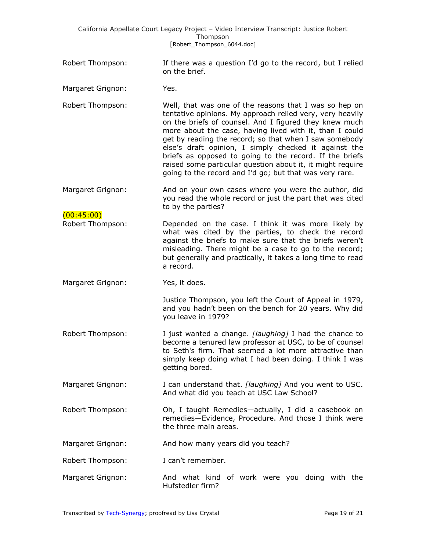|                                 | California Appellate Court Legacy Project - Video Interview Transcript: Justice Robert<br>Thompson<br>[Robert_Thompson_6044.doc]                                                                                                                                                                                                                                                                                                                                                                                                                |
|---------------------------------|-------------------------------------------------------------------------------------------------------------------------------------------------------------------------------------------------------------------------------------------------------------------------------------------------------------------------------------------------------------------------------------------------------------------------------------------------------------------------------------------------------------------------------------------------|
| Robert Thompson:                | If there was a question I'd go to the record, but I relied<br>on the brief.                                                                                                                                                                                                                                                                                                                                                                                                                                                                     |
| Margaret Grignon:               | Yes.                                                                                                                                                                                                                                                                                                                                                                                                                                                                                                                                            |
| Robert Thompson:                | Well, that was one of the reasons that I was so hep on<br>tentative opinions. My approach relied very, very heavily<br>on the briefs of counsel. And I figured they knew much<br>more about the case, having lived with it, than I could<br>get by reading the record; so that when I saw somebody<br>else's draft opinion, I simply checked it against the<br>briefs as opposed to going to the record. If the briefs<br>raised some particular question about it, it might require<br>going to the record and I'd go; but that was very rare. |
| Margaret Grignon:<br>(00:45:00) | And on your own cases where you were the author, did<br>you read the whole record or just the part that was cited<br>to by the parties?                                                                                                                                                                                                                                                                                                                                                                                                         |
| Robert Thompson:                | Depended on the case. I think it was more likely by<br>what was cited by the parties, to check the record<br>against the briefs to make sure that the briefs weren't<br>misleading. There might be a case to go to the record;<br>but generally and practically, it takes a long time to read<br>a record.                                                                                                                                                                                                                                      |
| Margaret Grignon:               | Yes, it does.                                                                                                                                                                                                                                                                                                                                                                                                                                                                                                                                   |
|                                 | Justice Thompson, you left the Court of Appeal in 1979,<br>and you hadn't been on the bench for 20 years. Why did<br>you leave in 1979?                                                                                                                                                                                                                                                                                                                                                                                                         |
| Robert Thompson:                | I just wanted a change. [laughing] I had the chance to<br>become a tenured law professor at USC, to be of counsel<br>to Seth's firm. That seemed a lot more attractive than<br>simply keep doing what I had been doing. I think I was<br>getting bored.                                                                                                                                                                                                                                                                                         |
| Margaret Grignon:               | I can understand that. [laughing] And you went to USC.<br>And what did you teach at USC Law School?                                                                                                                                                                                                                                                                                                                                                                                                                                             |
| Robert Thompson:                | Oh, I taught Remedies-actually, I did a casebook on<br>remedies-Evidence, Procedure. And those I think were<br>the three main areas.                                                                                                                                                                                                                                                                                                                                                                                                            |
| Margaret Grignon:               | And how many years did you teach?                                                                                                                                                                                                                                                                                                                                                                                                                                                                                                               |
| Robert Thompson:                | I can't remember.                                                                                                                                                                                                                                                                                                                                                                                                                                                                                                                               |
| Margaret Grignon:               | And what kind of work were you doing with the<br>Hufstedler firm?                                                                                                                                                                                                                                                                                                                                                                                                                                                                               |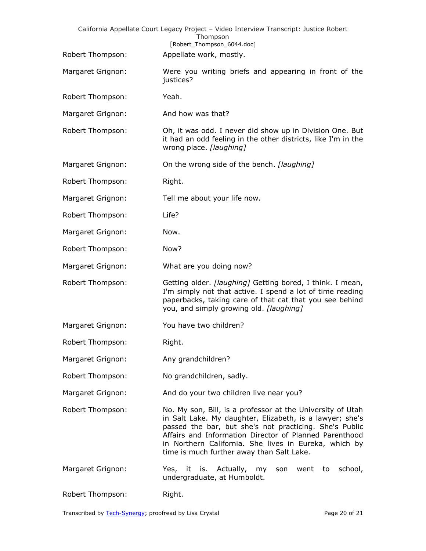|                   | California Appellate Court Legacy Project - Video Interview Transcript: Justice Robert<br>Thompson<br>[Robert_Thompson_6044.doc]                                                                                                                                                                                                                 |
|-------------------|--------------------------------------------------------------------------------------------------------------------------------------------------------------------------------------------------------------------------------------------------------------------------------------------------------------------------------------------------|
| Robert Thompson:  | Appellate work, mostly.                                                                                                                                                                                                                                                                                                                          |
| Margaret Grignon: | Were you writing briefs and appearing in front of the<br>justices?                                                                                                                                                                                                                                                                               |
| Robert Thompson:  | Yeah.                                                                                                                                                                                                                                                                                                                                            |
| Margaret Grignon: | And how was that?                                                                                                                                                                                                                                                                                                                                |
| Robert Thompson:  | Oh, it was odd. I never did show up in Division One. But<br>it had an odd feeling in the other districts, like I'm in the<br>wrong place. [laughing]                                                                                                                                                                                             |
| Margaret Grignon: | On the wrong side of the bench. [laughing]                                                                                                                                                                                                                                                                                                       |
| Robert Thompson:  | Right.                                                                                                                                                                                                                                                                                                                                           |
| Margaret Grignon: | Tell me about your life now.                                                                                                                                                                                                                                                                                                                     |
| Robert Thompson:  | Life?                                                                                                                                                                                                                                                                                                                                            |
| Margaret Grignon: | Now.                                                                                                                                                                                                                                                                                                                                             |
| Robert Thompson:  | Now?                                                                                                                                                                                                                                                                                                                                             |
| Margaret Grignon: | What are you doing now?                                                                                                                                                                                                                                                                                                                          |
| Robert Thompson:  | Getting older. [laughing] Getting bored, I think. I mean,<br>I'm simply not that active. I spend a lot of time reading<br>paperbacks, taking care of that cat that you see behind<br>you, and simply growing old. [laughing]                                                                                                                     |
| Margaret Grignon: | You have two children?                                                                                                                                                                                                                                                                                                                           |
| Robert Thompson:  | Right.                                                                                                                                                                                                                                                                                                                                           |
| Margaret Grignon: | Any grandchildren?                                                                                                                                                                                                                                                                                                                               |
| Robert Thompson:  | No grandchildren, sadly.                                                                                                                                                                                                                                                                                                                         |
| Margaret Grignon: | And do your two children live near you?                                                                                                                                                                                                                                                                                                          |
| Robert Thompson:  | No. My son, Bill, is a professor at the University of Utah<br>in Salt Lake. My daughter, Elizabeth, is a lawyer; she's<br>passed the bar, but she's not practicing. She's Public<br>Affairs and Information Director of Planned Parenthood<br>in Northern California. She lives in Eureka, which by<br>time is much further away than Salt Lake. |
| Margaret Grignon: | Yes, it is. Actually, my<br>school,<br>went to<br>son<br>undergraduate, at Humboldt.                                                                                                                                                                                                                                                             |
| Robert Thompson:  | Right.                                                                                                                                                                                                                                                                                                                                           |